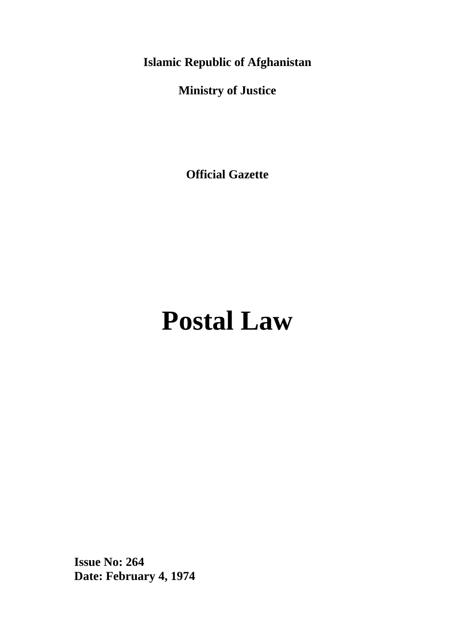**Islamic Republic of Afghanistan**

**Ministry of Justice**

**Official Gazette**

# **Postal Law**

**Issue No: 264 Date: February 4, 1974**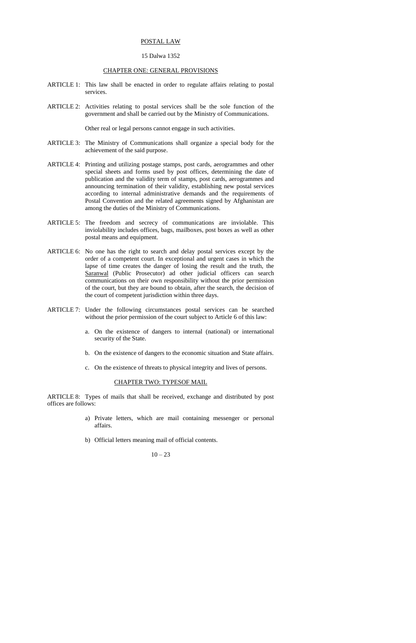#### POSTAL LAW

## 15 Dalwa 1352

## CHAPTER ONE: GENERAL PROVISIONS

- ARTICLE 1: This law shall be enacted in order to regulate affairs relating to postal services.
- ARTICLE 2: Activities relating to postal services shall be the sole function of the government and shall be carried out by the Ministry of Communications.

Other real or legal persons cannot engage in such activities.

- ARTICLE 3: The Ministry of Communications shall organize a special body for the achievement of the said purpose.
- ARTICLE 4: Printing and utilizing postage stamps, post cards, aerogrammes and other special sheets and forms used by post offices, determining the date of publication and the validity term of stamps, post cards, aerogrammes and announcing termination of their validity, establishing new postal services according to internal administrative demands and the requirements of Postal Convention and the related agreements signed by Afghanistan are among the duties of the Ministry of Communications.
- ARTICLE 5: The freedom and secrecy of communications are inviolable. This inviolability includes offices, bags, mailboxes, post boxes as well as other postal means and equipment.
- ARTICLE 6: No one has the right to search and delay postal services except by the order of a competent court. In exceptional and urgent cases in which the lapse of time creates the danger of losing the result and the truth, the Saranwal (Public Prosecutor) ad other judicial officers can search communications on their own responsibility without the prior permission of the court, but they are bound to obtain, after the search, the decision of the court of competent jurisdiction within three days.
- ARTICLE 7: Under the following circumstances postal services can be searched without the prior permission of the court subject to Article 6 of this law:
	- a. On the existence of dangers to internal (national) or international security of the State.
	- b. On the existence of dangers to the economic situation and State affairs.
	- c. On the existence of threats to physical integrity and lives of persons.

## CHAPTER TWO: TYPESOF MAIL

ARTICLE 8: Types of mails that shall be received, exchange and distributed by post offices are follows:

- a) Private letters, which are mail containing messenger or personal affairs.
- b) Official letters meaning mail of official contents.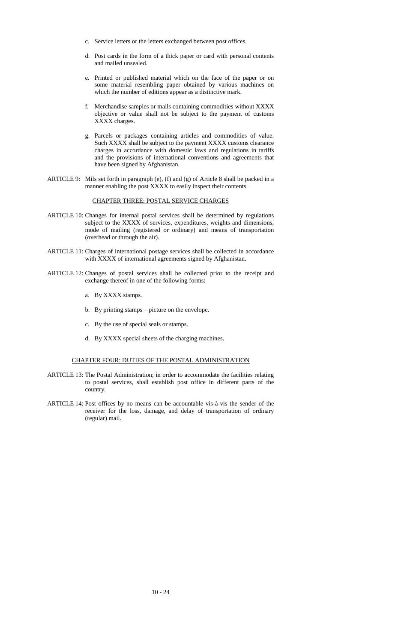- c. Service letters or the letters exchanged between post offices.
- d. Post cards in the form of a thick paper or card with personal contents and mailed unsealed.
- e. Printed or published material which on the face of the paper or on some material resembling paper obtained by various machines on which the number of editions appear as a distinctive mark.
- f. Merchandise samples or mails containing commodities without XXXX objective or value shall not be subject to the payment of customs XXXX charges.
- g. Parcels or packages containing articles and commodities of value. Such XXXX shall be subject to the payment XXXX customs clearance charges in accordance with domestic laws and regulations in tariffs and the provisions of international conventions and agreements that have been signed by Afghanistan.
- ARTICLE 9: Mils set forth in paragraph (e), (f) and (g) of Article 8 shall be packed in a manner enabling the post XXXX to easily inspect their contents.

# CHAPTER THREE: POSTAL SERVICE CHARGES

- ARTICLE 10: Changes for internal postal services shall be determined by regulations subject to the XXXX of services, expenditures, weights and dimensions, mode of mailing (registered or ordinary) and means of transportation (overhead or through the air).
- ARTICLE 11: Charges of international postage services shall be collected in accordance with XXXX of international agreements signed by Afghanistan.
- ARTICLE 12: Changes of postal services shall be collected prior to the receipt and exchange thereof in one of the following forms:
	- a. By XXXX stamps.
	- b. By printing stamps picture on the envelope.
	- c. By the use of special seals or stamps.
	- d. By XXXX special sheets of the charging machines.

# CHAPTER FOUR: DUTIES OF THE POSTAL ADMINISTRATION

- ARTICLE 13: The Postal Administration; in order to accommodate the facilities relating to postal services, shall establish post office in different parts of the country.
- ARTICLE 14: Post offices by no means can be accountable vis-à-vis the sender of the receiver for the loss, damage, and delay of transportation of ordinary (regular) mail.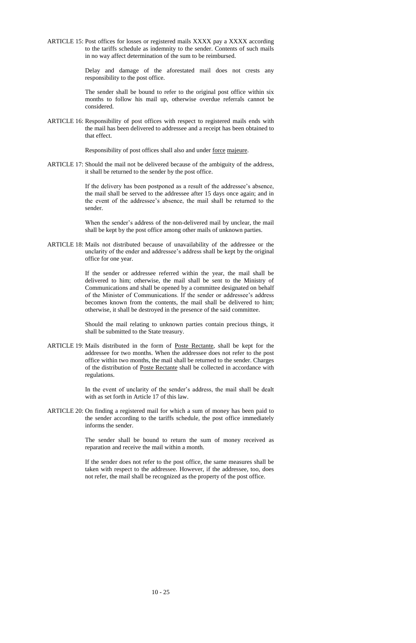ARTICLE 15: Post offices for losses or registered mails XXXX pay a XXXX according to the tariffs schedule as indemnity to the sender. Contents of such mails in no way affect determination of the sum to be reimbursed.

> Delay and damage of the aforestated mail does not crests any responsibility to the post office.

> The sender shall be bound to refer to the original post office within six months to follow his mail up, otherwise overdue referrals cannot be considered.

ARTICLE 16: Responsibility of post offices with respect to registered mails ends with the mail has been delivered to addressee and a receipt has been obtained to that effect.

Responsibility of post offices shall also and under force majeure.

ARTICLE 17: Should the mail not be delivered because of the ambiguity of the address, it shall be returned to the sender by the post office.

> If the delivery has been postponed as a result of the addressee's absence, the mail shall be served to the addressee after 15 days once again; and in the event of the addressee's absence, the mail shall be returned to the sender.

> When the sender's address of the non-delivered mail by unclear, the mail shall be kept by the post office among other mails of unknown parties.

ARTICLE 18: Mails not distributed because of unavailability of the addressee or the unclarity of the ender and addressee's address shall be kept by the original office for one year.

> If the sender or addressee referred within the year, the mail shall be delivered to him; otherwise, the mail shall be sent to the Ministry of Communications and shall be opened by a committee designated on behalf of the Minister of Communications. If the sender or addressee's address becomes known from the contents, the mail shall be delivered to him; otherwise, it shall be destroyed in the presence of the said committee.

> Should the mail relating to unknown parties contain precious things, it shall be submitted to the State treasury.

ARTICLE 19: Mails distributed in the form of Poste Rectante, shall be kept for the addressee for two months. When the addressee does not refer to the post office within two months, the mail shall be returned to the sender. Charges of the distribution of Poste Rectante shall be collected in accordance with regulations.

> In the event of unclarity of the sender's address, the mail shall be dealt with as set forth in Article 17 of this law.

ARTICLE 20: On finding a registered mail for which a sum of money has been paid to the sender according to the tariffs schedule, the post office immediately informs the sender.

> The sender shall be bound to return the sum of money received as reparation and receive the mail within a month.

> If the sender does not refer to the post office, the same measures shall be taken with respect to the addressee. However, if the addressee, too, does

not refer, the mail shall be recognized as the property of the post office.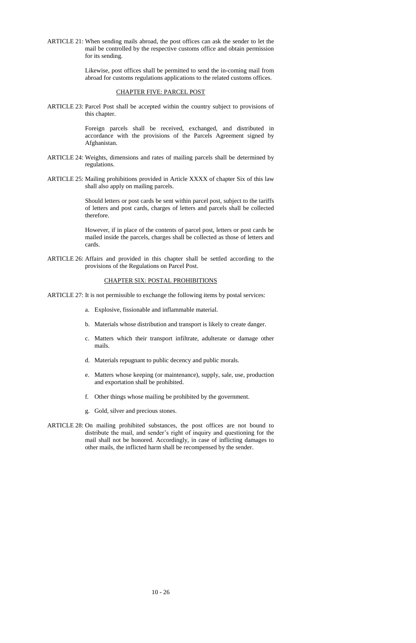ARTICLE 21: When sending mails abroad, the post offices can ask the sender to let the mail be controlled by the respective customs office and obtain permission for its sending.

> Likewise, post offices shall be permitted to send the in-coming mail from abroad for customs regulations applications to the related customs offices.

## CHAPTER FIVE: PARCEL POST

ARTICLE 23: Parcel Post shall be accepted within the country subject to provisions of this chapter.

> Foreign parcels shall be received, exchanged, and distributed in accordance with the provisions of the Parcels Agreement signed by Afghanistan.

- ARTICLE 24: Weights, dimensions and rates of mailing parcels shall be determined by regulations.
- ARTICLE 25: Mailing prohibitions provided in Article XXXX of chapter Six of this law shall also apply on mailing parcels.

Should letters or post cards be sent within parcel post, subject to the tariffs of letters and post cards, charges of letters and parcels shall be collected therefore.

However, if in place of the contents of parcel post, letters or post cards be mailed inside the parcels, charges shall be collected as those of letters and cards.

ARTICLE 26: Affairs and provided in this chapter shall be settled according to the provisions of the Regulations on Parcel Post.

# CHAPTER SIX: POSTAL PROHIBITIONS

ARTICLE 27: It is not permissible to exchange the following items by postal services:

- a. Explosive, fissionable and inflammable material.
- b. Materials whose distribution and transport is likely to create danger.
- c. Matters which their transport infiltrate, adulterate or damage other mails.
- d. Materials repugnant to public decency and public morals.
- e. Matters whose keeping (or maintenance), supply, sale, use, production and exportation shall be prohibited.
- f. Other things whose mailing be prohibited by the government.
- g. Gold, silver and precious stones.
- ARTICLE 28: On mailing prohibited substances, the post offices are not bound to distribute the mail, and sender's right of inquiry and questioning for the mail shall not be honored. Accordingly, in case of inflicting damages to other mails, the inflicted harm shall be recompensed by the sender.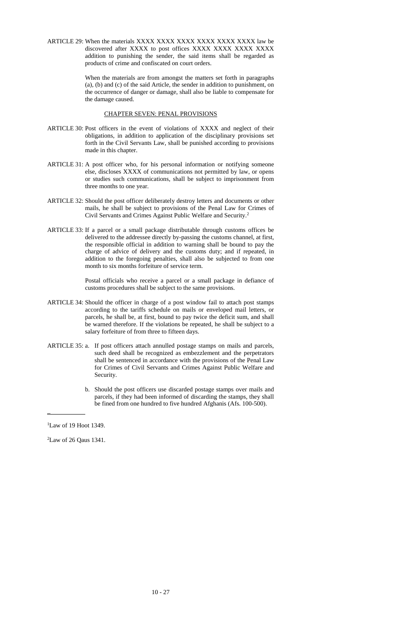ARTICLE 29: When the materials XXXX XXXX XXXX XXXX XXXX XXXX law be discovered after XXXX to post offices XXXX XXXX XXXX XXXX addition to punishing the sender, the said items shall be regarded as products of crime and confiscated on court orders.

> When the materials are from amongst the matters set forth in paragraphs (a), (b) and (c) of the said Article, the sender in addition to punishment, on the occurrence of danger or damage, shall also be liable to compensate for the damage caused.

# CHAPTER SEVEN: PENAL PROVISIONS

- ARTICLE 30: Post officers in the event of violations of XXXX and neglect of their obligations, in addition to application of the disciplinary provisions set forth in the Civil Servants Law, shall be punished according to provisions made in this chapter.
- ARTICLE 31: A post officer who, for his personal information or notifying someone else, discloses XXXX of communications not permitted by law, or opens or studies such communications, shall be subject to imprisonment from three months to one year.
- ARTICLE 32: Should the post officer deliberately destroy letters and documents or other mails, he shall be subject to provisions of the Penal Law for Crimes of Civil Servants and Crimes Against Public Welfare and Security.<sup>2</sup>
- ARTICLE 33: If a parcel or a small package distributable through customs offices be delivered to the addressee directly by-passing the customs channel, at first, the responsible official in addition to warning shall be bound to pay the charge of advice of delivery and the customs duty; and if repeated, in addition to the foregoing penalties, shall also be subjected to from one month to six months forfeiture of service term.

Postal officials who receive a parcel or a small package in defiance of customs procedures shall be subject to the same provisions.

- ARTICLE 34: Should the officer in charge of a post window fail to attach post stamps according to the tariffs schedule on mails or enveloped mail letters, or parcels, he shall be, at first, bound to pay twice the deficit sum, and shall be warned therefore. If the violations be repeated, he shall be subject to a salary forfeiture of from three to fifteen days.
- ARTICLE 35: a. If post officers attach annulled postage stamps on mails and parcels, such deed shall be recognized as embezzlement and the perpetrators shall be sentenced in accordance with the provisions of the Penal Law for Crimes of Civil Servants and Crimes Against Public Welfare and Security.
	- b. Should the post officers use discarded postage stamps over mails and parcels, if they had been informed of discarding the stamps, they shall be fined from one hundred to five hundred Afghanis (Afs. 100-500).

\_

<sup>1</sup>Law of 19 Hoot 1349.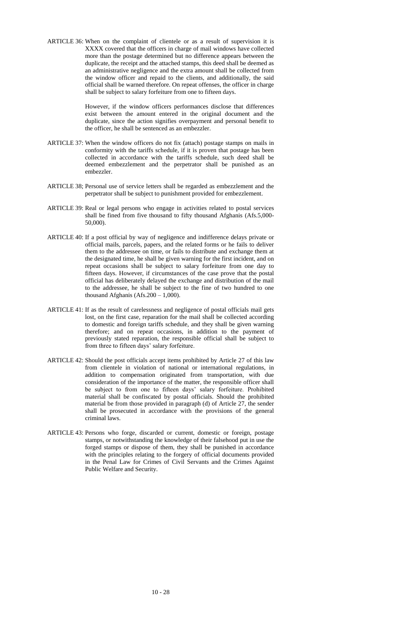ARTICLE 36: When on the complaint of clientele or as a result of supervision it is XXXX covered that the officers in charge of mail windows have collected more than the postage determined but no difference appears between the duplicate, the receipt and the attached stamps, this deed shall be deemed as an administrative negligence and the extra amount shall be collected from the window officer and repaid to the clients, and additionally, the said official shall be warned therefore. On repeat offenses, the officer in charge shall be subject to salary forfeiture from one to fifteen days.

> However, if the window officers performances disclose that differences exist between the amount entered in the original document and the duplicate, since the action signifies overpayment and personal benefit to the officer, he shall be sentenced as an embezzler.

- ARTICLE 37: When the window officers do not fix (attach) postage stamps on mails in conformity with the tariffs schedule, if it is proven that postage has been collected in accordance with the tariffs schedule, such deed shall be deemed embezzlement and the perpetrator shall be punished as an embezzler.
- ARTICLE 38; Personal use of service letters shall be regarded as embezzlement and the perpetrator shall be subject to punishment provided for embezzlement.
- ARTICLE 39: Real or legal persons who engage in activities related to postal services shall be fined from five thousand to fifty thousand Afghanis (Afs.5,000- 50,000).
- ARTICLE 40: If a post official by way of negligence and indifference delays private or official mails, parcels, papers, and the related forms or he fails to deliver them to the addressee on time, or fails to distribute and exchange them at the designated time, he shall be given warning for the first incident, and on repeat occasions shall be subject to salary forfeiture from one day to fifteen days. However, if circumstances of the case prove that the postal official has deliberately delayed the exchange and distribution of the mail to the addressee, he shall be subject to the fine of two hundred to one thousand Afghanis (Afs. $200 - 1,000$ ).
- ARTICLE 41: If as the result of carelessness and negligence of postal officials mail gets lost, on the first case, reparation for the mail shall be collected according to domestic and foreign tariffs schedule, and they shall be given warning therefore; and on repeat occasions, in addition to the payment of previously stated reparation, the responsible official shall be subject to from three to fifteen days' salary forfeiture.
- ARTICLE 42: Should the post officials accept items prohibited by Article 27 of this law from clientele in violation of national or international regulations, in addition to compensation originated from transportation, with due consideration of the importance of the matter, the responsible officer shall be subject to from one to fifteen days' salary forfeiture. Prohibited material shall be confiscated by postal officials. Should the prohibited material be from those provided in paragraph (d) of Article 27, the sender shall be prosecuted in accordance with the provisions of the general criminal laws.
- ARTICLE 43: Persons who forge, discarded or current, domestic or foreign, postage stamps, or notwithstanding the knowledge of their falsehood put in use the forged stamps or dispose of them, they shall be punished in accordance with the principles relating to the forgery of official documents provided in the Penal Law for Crimes of Civil Servants and the Crimes Against Public Welfare and Security.